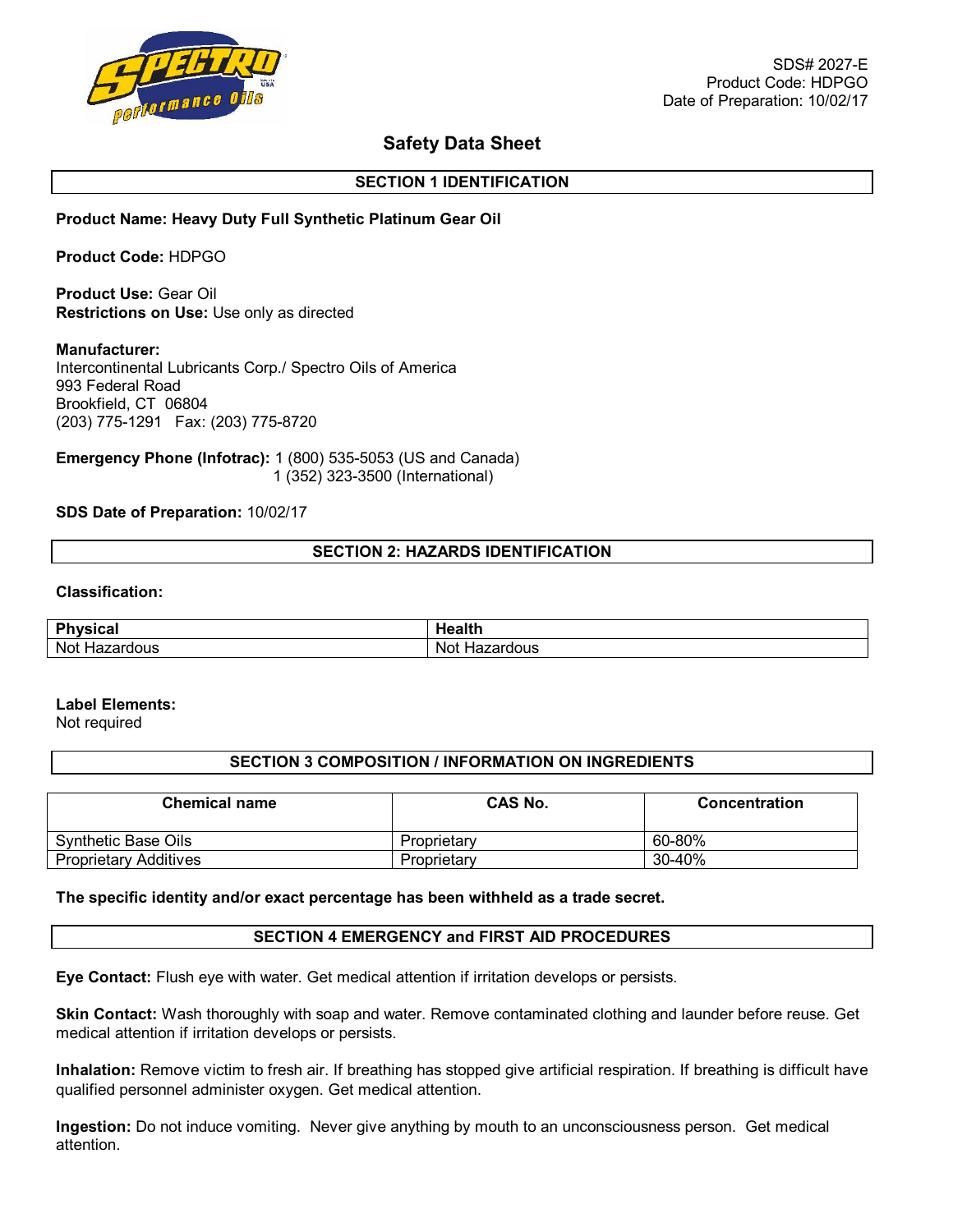

# **Safety Data Sheet**

## **SECTION 1 IDENTIFICATION**

## **Product Name: Heavy Duty Full Synthetic Platinum Gear Oil**

**Product Code:** HDPGO

**Product Use:** Gear Oil **Restrictions on Use:** Use only as directed

## **Manufacturer:**

Intercontinental Lubricants Corp./ Spectro Oils of America 993 Federal Road Brookfield, CT 06804 (203) 775-1291 Fax: (203) 775-8720

**Emergency Phone (Infotrac):** 1 (800) 535-5053 (US and Canada) 1 (352) 323-3500 (International)

## **SDS Date of Preparation:** 10/02/17

## **SECTION 2: HAZARDS IDENTIFICATION**

## **Classification:**

| <b>Physical</b><br>lual<br>. | طافاهما<br>וויוסטו |
|------------------------------|--------------------|
| Not <b>H</b><br>Hazardous    | Not<br>Hazardous   |

# **Label Elements:**

Not required

# **SECTION 3 COMPOSITION / INFORMATION ON INGREDIENTS**

| <b>Chemical name</b>         | CAS No.     | Concentration |
|------------------------------|-------------|---------------|
| Synthetic Base Oils          | Proprietary | 60-80%        |
| <b>Proprietary Additives</b> | Proprietary | 30-40%        |

#### **The specific identity and/or exact percentage has been withheld as a trade secret.**

## **SECTION 4 EMERGENCY and FIRST AID PROCEDURES**

**Eye Contact:** Flush eye with water. Get medical attention if irritation develops or persists.

**Skin Contact:** Wash thoroughly with soap and water. Remove contaminated clothing and launder before reuse. Get medical attention if irritation develops or persists.

**Inhalation:** Remove victim to fresh air. If breathing has stopped give artificial respiration. If breathing is difficult have qualified personnel administer oxygen. Get medical attention.

**Ingestion:** Do not induce vomiting. Never give anything by mouth to an unconsciousness person. Get medical attention.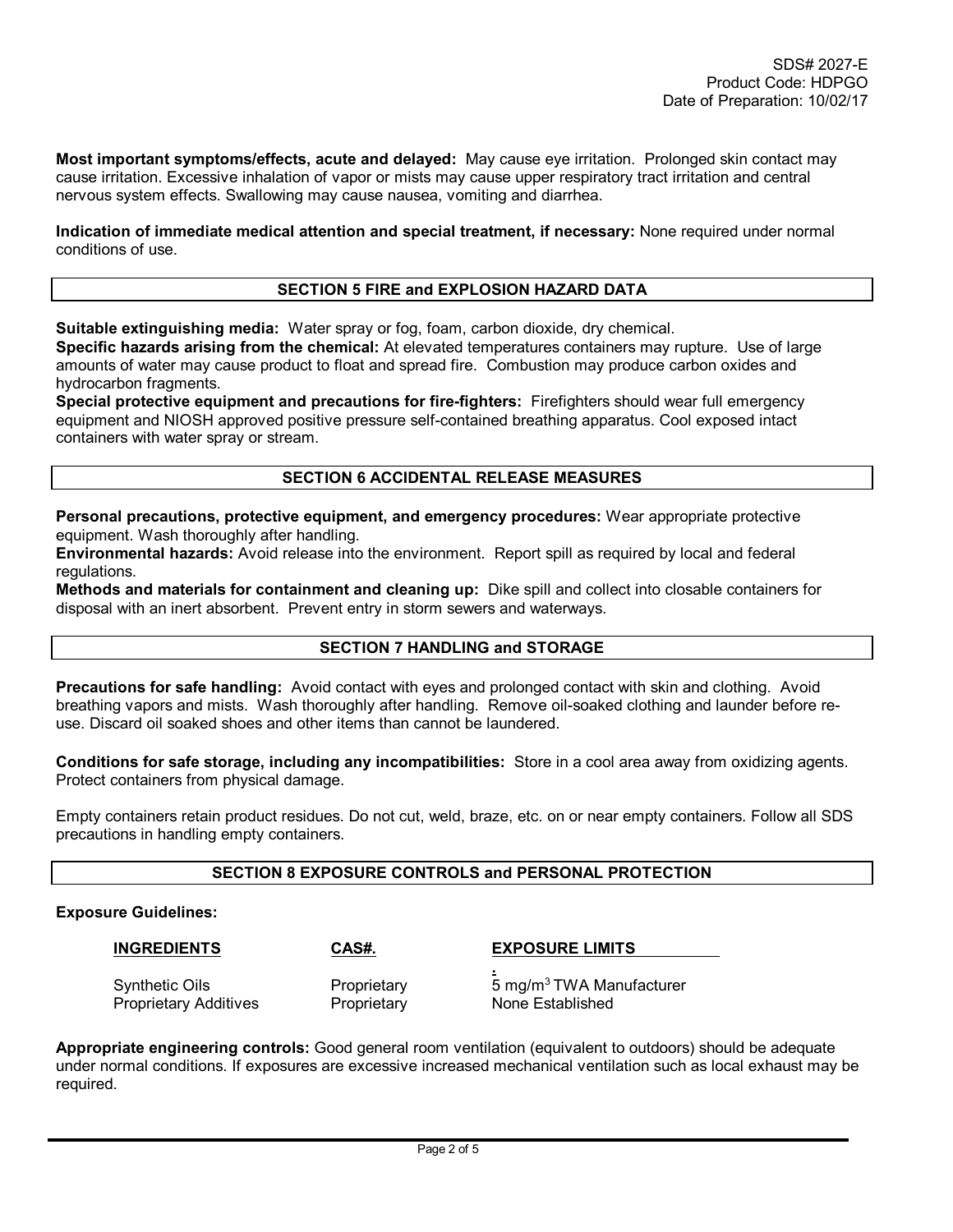**Most important symptoms/effects, acute and delayed:** May cause eye irritation. Prolonged skin contact may cause irritation. Excessive inhalation of vapor or mists may cause upper respiratory tract irritation and central nervous system effects. Swallowing may cause nausea, vomiting and diarrhea.

**Indication of immediate medical attention and special treatment, if necessary:** None required under normal conditions of use.

## **SECTION 5 FIRE and EXPLOSION HAZARD DATA**

**Suitable extinguishing media:** Water spray or fog, foam, carbon dioxide, dry chemical.

**Specific hazards arising from the chemical:** At elevated temperatures containers may rupture. Use of large amounts of water may cause product to float and spread fire. Combustion may produce carbon oxides and hydrocarbon fragments.

**Special protective equipment and precautions for fire-fighters:** Firefighters should wear full emergency equipment and NIOSH approved positive pressure self-contained breathing apparatus. Cool exposed intact containers with water spray or stream.

## **SECTION 6 ACCIDENTAL RELEASE MEASURES**

**Personal precautions, protective equipment, and emergency procedures:** Wear appropriate protective equipment. Wash thoroughly after handling.

**Environmental hazards:** Avoid release into the environment. Report spill as required by local and federal regulations.

**Methods and materials for containment and cleaning up:** Dike spill and collect into closable containers for disposal with an inert absorbent. Prevent entry in storm sewers and waterways.

## **SECTION 7 HANDLING and STORAGE**

**Precautions for safe handling:** Avoid contact with eyes and prolonged contact with skin and clothing. Avoid breathing vapors and mists. Wash thoroughly after handling. Remove oil-soaked clothing and launder before reuse. Discard oil soaked shoes and other items than cannot be laundered.

**Conditions for safe storage, including any incompatibilities:** Store in a cool area away from oxidizing agents. Protect containers from physical damage.

Empty containers retain product residues. Do not cut, weld, braze, etc. on or near empty containers. Follow all SDS precautions in handling empty containers.

# **SECTION 8 EXPOSURE CONTROLS and PERSONAL PROTECTION**

**.** 

## **Exposure Guidelines:**

## **INGREDIENTS CAS#. EXPOSURE LIMITS**

Proprietary Additives **Proprietary None Established** 

Synthetic Oils **Proprietary** 5 mg/m<sup>3</sup>TWA Manufacturer

**Appropriate engineering controls:** Good general room ventilation (equivalent to outdoors) should be adequate under normal conditions. If exposures are excessive increased mechanical ventilation such as local exhaust may be required.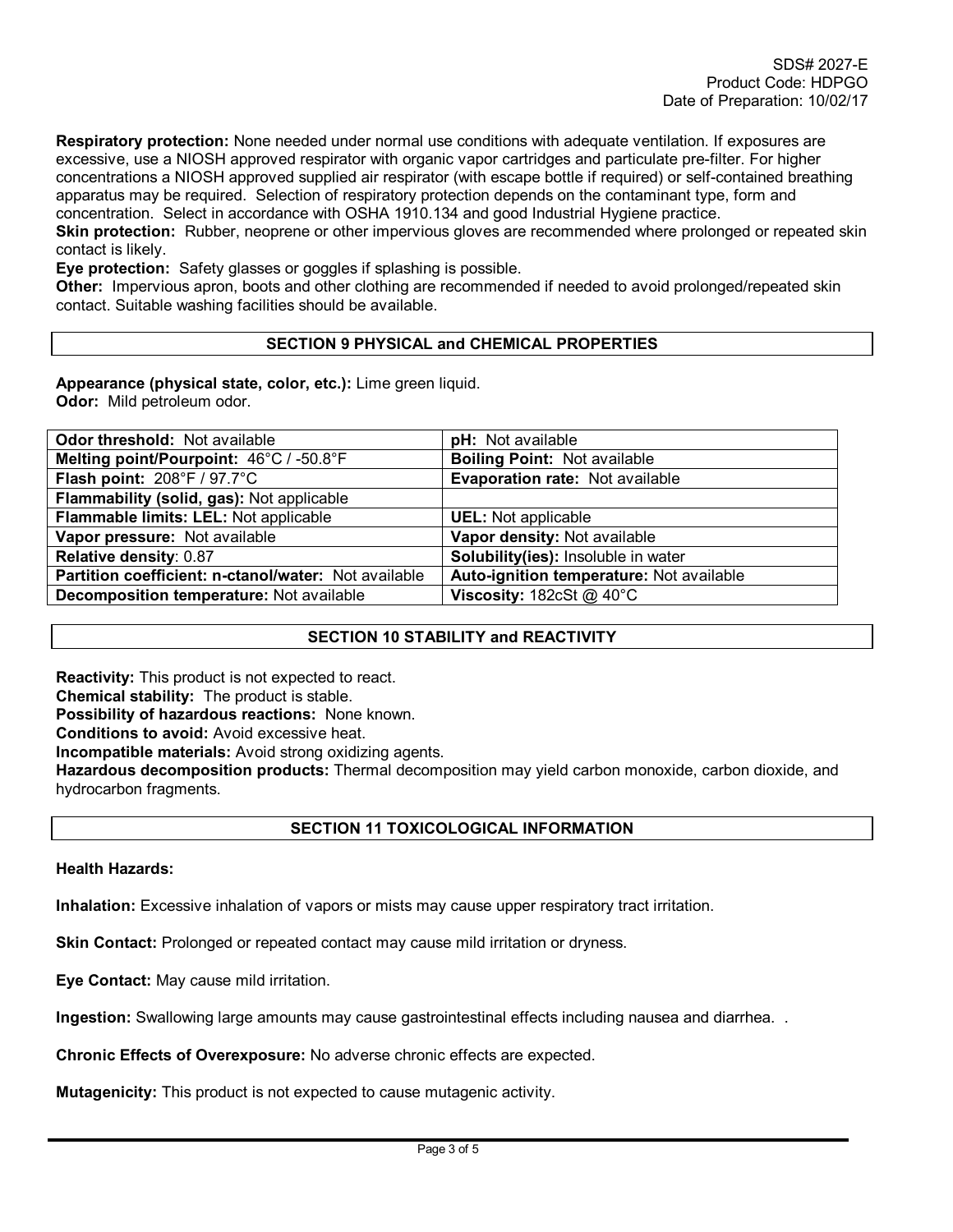**Respiratory protection:** None needed under normal use conditions with adequate ventilation. If exposures are excessive, use a NIOSH approved respirator with organic vapor cartridges and particulate pre-filter. For higher concentrations a NIOSH approved supplied air respirator (with escape bottle if required) or self-contained breathing apparatus may be required. Selection of respiratory protection depends on the contaminant type, form and concentration. Select in accordance with OSHA 1910.134 and good Industrial Hygiene practice.

**Skin protection:** Rubber, neoprene or other impervious gloves are recommended where prolonged or repeated skin contact is likely.

**Eye protection:** Safety glasses or goggles if splashing is possible.

**Other:** Impervious apron, boots and other clothing are recommended if needed to avoid prolonged/repeated skin contact. Suitable washing facilities should be available.

## **SECTION 9 PHYSICAL and CHEMICAL PROPERTIES**

**Appearance (physical state, color, etc.):** Lime green liquid. **Odor:** Mild petroleum odor.

| <b>pH:</b> Not available                 |
|------------------------------------------|
| <b>Boiling Point: Not available</b>      |
| Evaporation rate: Not available          |
|                                          |
| <b>UEL:</b> Not applicable               |
| Vapor density: Not available             |
| Solubility(ies): Insoluble in water      |
| Auto-ignition temperature: Not available |
| Viscosity: $182cSt @ 40°C$               |
|                                          |

# **SECTION 10 STABILITY and REACTIVITY**

**Reactivity:** This product is not expected to react.

**Chemical stability:** The product is stable.

**Possibility of hazardous reactions:** None known.

**Conditions to avoid:** Avoid excessive heat.

**Incompatible materials:** Avoid strong oxidizing agents.

**Hazardous decomposition products:** Thermal decomposition may yield carbon monoxide, carbon dioxide, and hydrocarbon fragments.

# **SECTION 11 TOXICOLOGICAL INFORMATION**

## **Health Hazards:**

**Inhalation:** Excessive inhalation of vapors or mists may cause upper respiratory tract irritation.

**Skin Contact:** Prolonged or repeated contact may cause mild irritation or dryness.

**Eye Contact:** May cause mild irritation.

**Ingestion:** Swallowing large amounts may cause gastrointestinal effects including nausea and diarrhea. .

**Chronic Effects of Overexposure:** No adverse chronic effects are expected.

**Mutagenicity:** This product is not expected to cause mutagenic activity.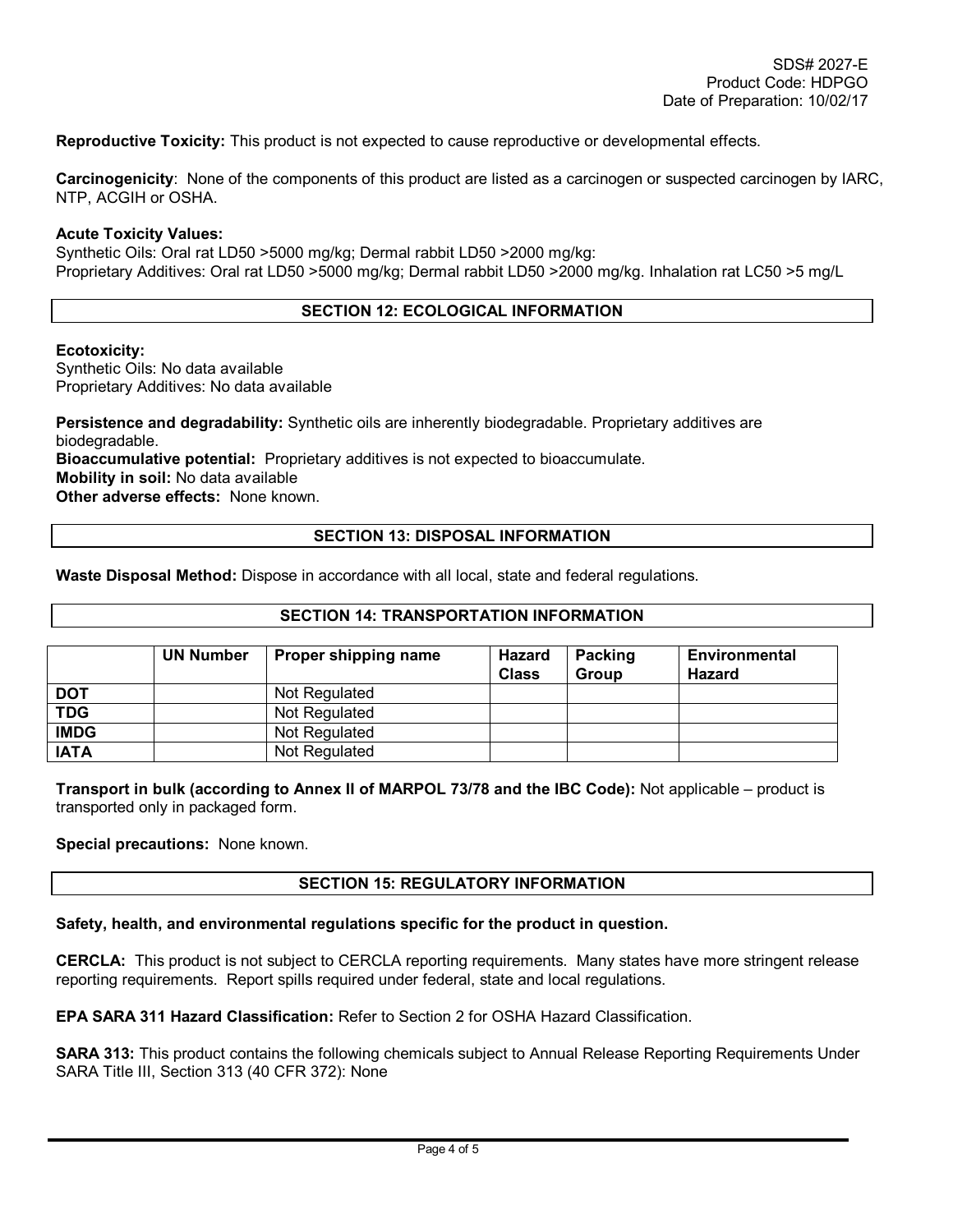**Reproductive Toxicity:** This product is not expected to cause reproductive or developmental effects.

**Carcinogenicity**: None of the components of this product are listed as a carcinogen or suspected carcinogen by IARC, NTP, ACGIH or OSHA.

#### **Acute Toxicity Values:**

Synthetic Oils: Oral rat LD50 >5000 mg/kg; Dermal rabbit LD50 >2000 mg/kg: Proprietary Additives: Oral rat LD50 >5000 mg/kg; Dermal rabbit LD50 >2000 mg/kg. Inhalation rat LC50 >5 mg/L

# **SECTION 12: ECOLOGICAL INFORMATION**

## **Ecotoxicity:**

Synthetic Oils: No data available Proprietary Additives: No data available

**Persistence and degradability:** Synthetic oils are inherently biodegradable. Proprietary additives are biodegradable. **Bioaccumulative potential:** Proprietary additives is not expected to bioaccumulate. **Mobility in soil:** No data available **Other adverse effects:** None known.

## **SECTION 13: DISPOSAL INFORMATION**

**Waste Disposal Method:** Dispose in accordance with all local, state and federal regulations.

## **SECTION 14: TRANSPORTATION INFORMATION**

|             | <b>UN Number</b> | Proper shipping name | Hazard<br><b>Class</b> | Packing<br>Group | <b>Environmental</b><br><b>Hazard</b> |
|-------------|------------------|----------------------|------------------------|------------------|---------------------------------------|
| <b>DOT</b>  |                  | Not Regulated        |                        |                  |                                       |
| <b>TDG</b>  |                  | Not Regulated        |                        |                  |                                       |
| <b>IMDG</b> |                  | Not Regulated        |                        |                  |                                       |
| <b>IATA</b> |                  | Not Regulated        |                        |                  |                                       |

**Transport in bulk (according to Annex II of MARPOL 73/78 and the IBC Code):** Not applicable – product is transported only in packaged form.

## **Special precautions:** None known.

## **SECTION 15: REGULATORY INFORMATION**

## **Safety, health, and environmental regulations specific for the product in question.**

**CERCLA:** This product is not subject to CERCLA reporting requirements. Many states have more stringent release reporting requirements. Report spills required under federal, state and local regulations.

**EPA SARA 311 Hazard Classification:** Refer to Section 2 for OSHA Hazard Classification.

**SARA 313:** This product contains the following chemicals subject to Annual Release Reporting Requirements Under SARA Title III, Section 313 (40 CFR 372): None